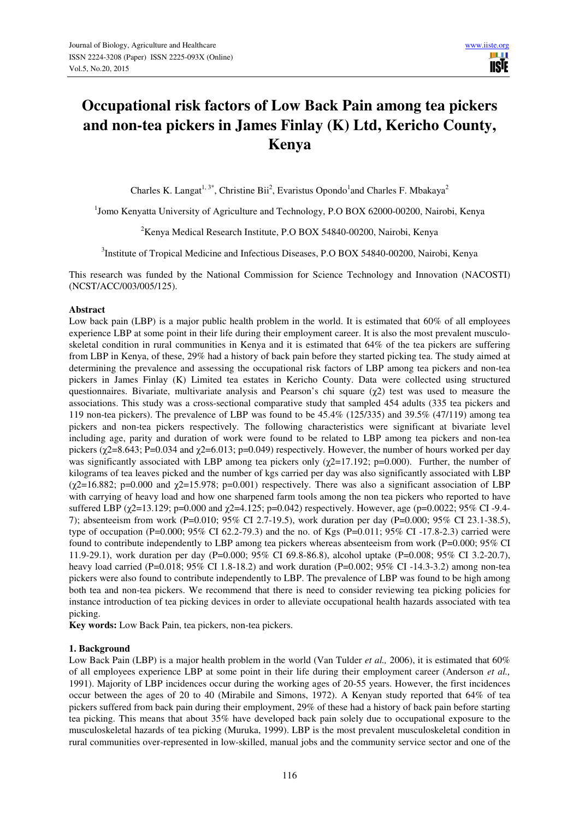# **Occupational risk factors of Low Back Pain among tea pickers and non-tea pickers in James Finlay (K) Ltd, Kericho County, Kenya**

Charles K. Langat<sup>1, 3\*</sup>, Christine Bii<sup>2</sup>, Evaristus Opondo<sup>1</sup> and Charles F. Mbakaya<sup>2</sup>

<sup>1</sup>Jomo Kenyatta University of Agriculture and Technology, P.O BOX 62000-00200, Nairobi, Kenya

 $2$ Kenya Medical Research Institute, P.O BOX 54840-00200, Nairobi, Kenya

<sup>3</sup>Institute of Tropical Medicine and Infectious Diseases, P.O BOX 54840-00200, Nairobi, Kenya

This research was funded by the National Commission for Science Technology and Innovation (NACOSTI) (NCST/ACC/003/005/125).

### **Abstract**

Low back pain (LBP) is a major public health problem in the world. It is estimated that 60% of all employees experience LBP at some point in their life during their employment career. It is also the most prevalent musculoskeletal condition in rural communities in Kenya and it is estimated that 64% of the tea pickers are suffering from LBP in Kenya, of these, 29% had a history of back pain before they started picking tea. The study aimed at determining the prevalence and assessing the occupational risk factors of LBP among tea pickers and non-tea pickers in James Finlay (K) Limited tea estates in Kericho County. Data were collected using structured questionnaires. Bivariate, multivariate analysis and Pearson's chi square ( $\gamma$ 2) test was used to measure the associations. This study was a cross-sectional comparative study that sampled 454 adults (335 tea pickers and 119 non-tea pickers). The prevalence of LBP was found to be 45.4% (125/335) and 39.5% (47/119) among tea pickers and non-tea pickers respectively. The following characteristics were significant at bivariate level including age, parity and duration of work were found to be related to LBP among tea pickers and non-tea pickers ( $\chi$ 2=8.643; P=0.034 and  $\chi$ 2=6.013; p=0.049) respectively. However, the number of hours worked per day was significantly associated with LBP among tea pickers only ( $\chi$ 2=17.192; p=0.000). Further, the number of kilograms of tea leaves picked and the number of kgs carried per day was also significantly associated with LBP  $(\chi$ 2=16.882; p=0.000 and  $\chi$ 2=15.978; p=0.001) respectively. There was also a significant association of LBP with carrying of heavy load and how one sharpened farm tools among the non tea pickers who reported to have suffered LBP ( $\chi$ 2=13.129; p=0.000 and  $\chi$ 2=4.125; p=0.042) respectively. However, age (p=0.0022; 95% CI -9.4-7); absenteeism from work (P=0.010; 95% CI 2.7-19.5), work duration per day (P=0.000; 95% CI 23.1-38.5), type of occupation (P=0.000; 95% CI 62.2-79.3) and the no. of Kgs (P=0.011; 95% CI -17.8-2.3) carried were found to contribute independently to LBP among tea pickers whereas absenteeism from work (P=0.000; 95% CI 11.9-29.1), work duration per day (P=0.000; 95% CI 69.8-86.8), alcohol uptake (P=0.008; 95% CI 3.2-20.7), heavy load carried (P=0.018; 95% CI 1.8-18.2) and work duration (P=0.002; 95% CI -14.3-3.2) among non-tea pickers were also found to contribute independently to LBP. The prevalence of LBP was found to be high among both tea and non-tea pickers. We recommend that there is need to consider reviewing tea picking policies for instance introduction of tea picking devices in order to alleviate occupational health hazards associated with tea picking.

**Key words:** Low Back Pain, tea pickers, non-tea pickers.

## **1. Background**

Low Back Pain (LBP) is a major health problem in the world (Van Tulder *et al.*, 2006), it is estimated that 60% of all employees experience LBP at some point in their life during their employment career (Anderson *et al.,* 1991). Majority of LBP incidences occur during the working ages of 20-55 years. However, the first incidences occur between the ages of 20 to 40 (Mirabile and Simons, 1972). A Kenyan study reported that 64% of tea pickers suffered from back pain during their employment, 29% of these had a history of back pain before starting tea picking. This means that about 35% have developed back pain solely due to occupational exposure to the musculoskeletal hazards of tea picking (Muruka, 1999). LBP is the most prevalent musculoskeletal condition in rural communities over-represented in low-skilled, manual jobs and the community service sector and one of the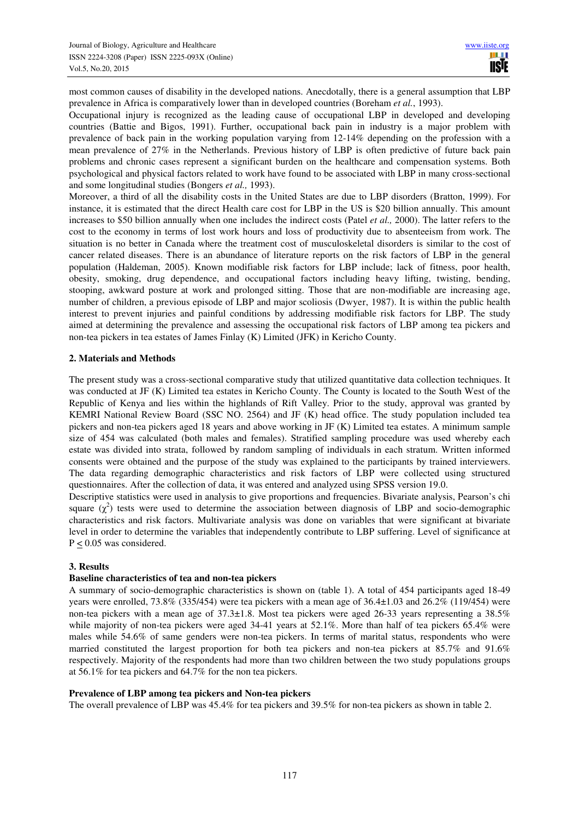most common causes of disability in the developed nations. Anecdotally, there is a general assumption that LBP prevalence in Africa is comparatively lower than in developed countries (Boreham *et al.*, 1993).

Occupational injury is recognized as the leading cause of occupational LBP in developed and developing countries (Battie and Bigos, 1991). Further, occupational back pain in industry is a major problem with prevalence of back pain in the working population varying from 12-14% depending on the profession with a mean prevalence of 27% in the Netherlands. Previous history of LBP is often predictive of future back pain problems and chronic cases represent a significant burden on the healthcare and compensation systems. Both psychological and physical factors related to work have found to be associated with LBP in many cross-sectional and some longitudinal studies (Bongers *et al.,* 1993).

Moreover, a third of all the disability costs in the United States are due to LBP disorders (Bratton, 1999). For instance, it is estimated that the direct Health care cost for LBP in the US is \$20 billion annually. This amount increases to \$50 billion annually when one includes the indirect costs (Patel *et al.,* 2000). The latter refers to the cost to the economy in terms of lost work hours and loss of productivity due to absenteeism from work. The situation is no better in Canada where the treatment cost of musculoskeletal disorders is similar to the cost of cancer related diseases. There is an abundance of literature reports on the risk factors of LBP in the general population (Haldeman, 2005). Known modifiable risk factors for LBP include; lack of fitness, poor health, obesity, smoking, drug dependence, and occupational factors including heavy lifting, twisting, bending, stooping, awkward posture at work and prolonged sitting. Those that are non-modifiable are increasing age, number of children, a previous episode of LBP and major scoliosis (Dwyer, 1987). It is within the public health interest to prevent injuries and painful conditions by addressing modifiable risk factors for LBP. The study aimed at determining the prevalence and assessing the occupational risk factors of LBP among tea pickers and non-tea pickers in tea estates of James Finlay (K) Limited (JFK) in Kericho County.

## **2. Materials and Methods**

The present study was a cross-sectional comparative study that utilized quantitative data collection techniques. It was conducted at JF (K) Limited tea estates in Kericho County. The County is located to the South West of the Republic of Kenya and lies within the highlands of Rift Valley. Prior to the study, approval was granted by KEMRI National Review Board (SSC NO. 2564) and JF (K) head office. The study population included tea pickers and non-tea pickers aged 18 years and above working in JF (K) Limited tea estates. A minimum sample size of 454 was calculated (both males and females). Stratified sampling procedure was used whereby each estate was divided into strata, followed by random sampling of individuals in each stratum. Written informed consents were obtained and the purpose of the study was explained to the participants by trained interviewers. The data regarding demographic characteristics and risk factors of LBP were collected using structured questionnaires. After the collection of data, it was entered and analyzed using SPSS version 19.0.

Descriptive statistics were used in analysis to give proportions and frequencies. Bivariate analysis, Pearson's chi square  $(\chi^2)$  tests were used to determine the association between diagnosis of LBP and socio-demographic characteristics and risk factors. Multivariate analysis was done on variables that were significant at bivariate level in order to determine the variables that independently contribute to LBP suffering. Level of significance at  $P \le 0.05$  was considered.

#### **3. Results**

#### **Baseline characteristics of tea and non-tea pickers**

A summary of socio-demographic characteristics is shown on (table 1). A total of 454 participants aged 18-49 years were enrolled, 73.8% (335/454) were tea pickers with a mean age of 36.4±1.03 and 26.2% (119/454) were non-tea pickers with a mean age of 37.3±1.8. Most tea pickers were aged 26-33 years representing a 38.5% while majority of non-tea pickers were aged 34-41 years at 52.1%. More than half of tea pickers 65.4% were males while 54.6% of same genders were non-tea pickers. In terms of marital status, respondents who were married constituted the largest proportion for both tea pickers and non-tea pickers at 85.7% and 91.6% respectively. Majority of the respondents had more than two children between the two study populations groups at 56.1% for tea pickers and 64.7% for the non tea pickers.

#### **Prevalence of LBP among tea pickers and Non-tea pickers**

The overall prevalence of LBP was 45.4% for tea pickers and 39.5% for non-tea pickers as shown in table 2.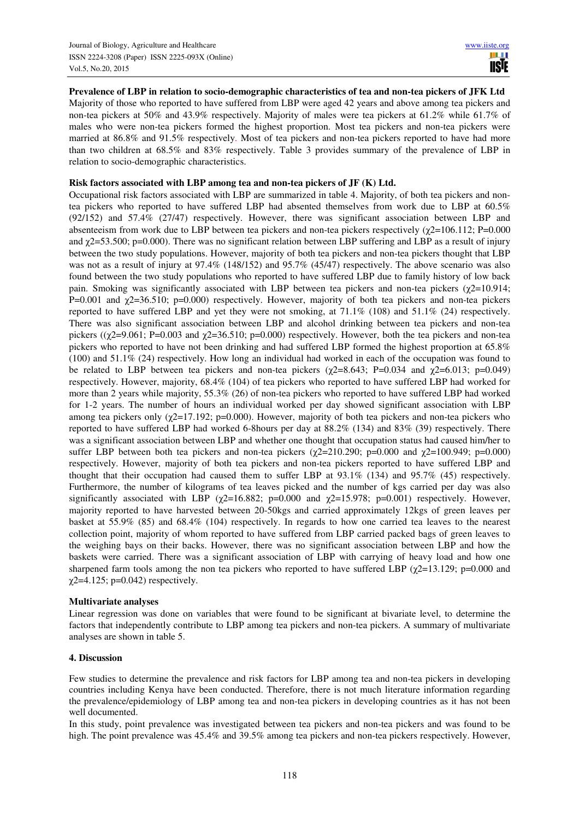**Prevalence of LBP in relation to socio-demographic characteristics of tea and non-tea pickers of JFK Ltd** 

Majority of those who reported to have suffered from LBP were aged 42 years and above among tea pickers and non-tea pickers at 50% and 43.9% respectively. Majority of males were tea pickers at 61.2% while 61.7% of males who were non-tea pickers formed the highest proportion. Most tea pickers and non-tea pickers were married at 86.8% and 91.5% respectively. Most of tea pickers and non-tea pickers reported to have had more than two children at 68.5% and 83% respectively. Table 3 provides summary of the prevalence of LBP in relation to socio-demographic characteristics.

## **Risk factors associated with LBP among tea and non-tea pickers of JF (K) Ltd.**

Occupational risk factors associated with LBP are summarized in table 4. Majority, of both tea pickers and nontea pickers who reported to have suffered LBP had absented themselves from work due to LBP at 60.5% (92/152) and 57.4% (27/47) respectively. However, there was significant association between LBP and absenteeism from work due to LBP between tea pickers and non-tea pickers respectively ( $\chi$ 2=106.112; P=0.000 and χ2=53.500; p=0.000). There was no significant relation between LBP suffering and LBP as a result of injury between the two study populations. However, majority of both tea pickers and non-tea pickers thought that LBP was not as a result of injury at 97.4% (148/152) and 95.7% (45/47) respectively. The above scenario was also found between the two study populations who reported to have suffered LBP due to family history of low back pain. Smoking was significantly associated with LBP between tea pickers and non-tea pickers ( $\chi$ 2=10.914; P=0.001 and χ2=36.510; p=0.000) respectively. However, majority of both tea pickers and non-tea pickers reported to have suffered LBP and yet they were not smoking, at 71.1% (108) and 51.1% (24) respectively. There was also significant association between LBP and alcohol drinking between tea pickers and non-tea pickers ( $(\chi$ 2=9.061; P=0.003 and  $\chi$ 2=36.510; p=0.000) respectively. However, both the tea pickers and non-tea pickers who reported to have not been drinking and had suffered LBP formed the highest proportion at 65.8% (100) and 51.1% (24) respectively. How long an individual had worked in each of the occupation was found to be related to LBP between tea pickers and non-tea pickers ( $\chi$ 2=8.643; P=0.034 and  $\chi$ 2=6.013; p=0.049) respectively. However, majority, 68.4% (104) of tea pickers who reported to have suffered LBP had worked for more than 2 years while majority, 55.3% (26) of non-tea pickers who reported to have suffered LBP had worked for 1-2 years. The number of hours an individual worked per day showed significant association with LBP among tea pickers only  $(\gamma2=17.192; p=0.000)$ . However, majority of both tea pickers and non-tea pickers who reported to have suffered LBP had worked 6-8hours per day at 88.2% (134) and 83% (39) respectively. There was a significant association between LBP and whether one thought that occupation status had caused him/her to suffer LBP between both tea pickers and non-tea pickers ( $\chi$ 2=210.290; p=0.000 and  $\chi$ 2=100.949; p=0.000) respectively. However, majority of both tea pickers and non-tea pickers reported to have suffered LBP and thought that their occupation had caused them to suffer LBP at 93.1% (134) and 95.7% (45) respectively. Furthermore, the number of kilograms of tea leaves picked and the number of kgs carried per day was also significantly associated with LBP ( $\chi$ 2=16.882; p=0.000 and  $\chi$ 2=15.978; p=0.001) respectively. However, majority reported to have harvested between 20-50kgs and carried approximately 12kgs of green leaves per basket at 55.9% (85) and 68.4% (104) respectively. In regards to how one carried tea leaves to the nearest collection point, majority of whom reported to have suffered from LBP carried packed bags of green leaves to the weighing bays on their backs. However, there was no significant association between LBP and how the baskets were carried. There was a significant association of LBP with carrying of heavy load and how one sharpened farm tools among the non tea pickers who reported to have suffered LBP ( $\gamma$ 2=13.129; p=0.000 and  $\chi$ 2=4.125; p=0.042) respectively.

#### **Multivariate analyses**

Linear regression was done on variables that were found to be significant at bivariate level, to determine the factors that independently contribute to LBP among tea pickers and non-tea pickers. A summary of multivariate analyses are shown in table 5.

#### **4. Discussion**

Few studies to determine the prevalence and risk factors for LBP among tea and non-tea pickers in developing countries including Kenya have been conducted. Therefore, there is not much literature information regarding the prevalence/epidemiology of LBP among tea and non-tea pickers in developing countries as it has not been well documented.

In this study, point prevalence was investigated between tea pickers and non-tea pickers and was found to be high. The point prevalence was 45.4% and 39.5% among tea pickers and non-tea pickers respectively. However,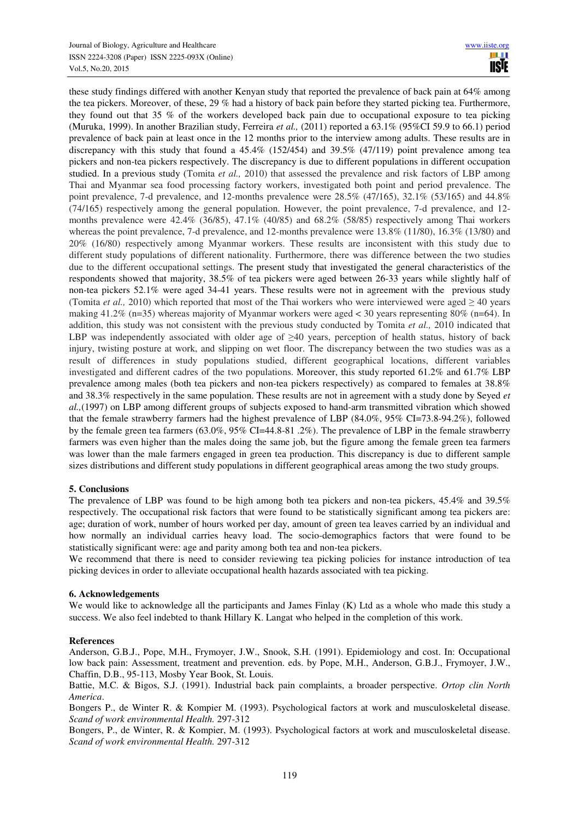these study findings differed with another Kenyan study that reported the prevalence of back pain at 64% among the tea pickers. Moreover, of these, 29 % had a history of back pain before they started picking tea. Furthermore, they found out that 35 % of the workers developed back pain due to occupational exposure to tea picking (Muruka, 1999). In another Brazilian study, Ferreira *et al.,* (2011) reported a 63.1% (95%CI 59.9 to 66.1) period prevalence of back pain at least once in the 12 months prior to the interview among adults. These results are in discrepancy with this study that found a  $45.4\%$  (152/454) and 39.5% (47/119) point prevalence among tea pickers and non-tea pickers respectively. The discrepancy is due to different populations in different occupation studied. In a previous study (Tomita *et al.*, 2010) that assessed the prevalence and risk factors of LBP among Thai and Myanmar sea food processing factory workers, investigated both point and period prevalence. The point prevalence, 7-d prevalence, and 12-months prevalence were 28.5% (47/165), 32.1% (53/165) and 44.8% (74/165) respectively among the general population. However, the point prevalence, 7-d prevalence, and 12 months prevalence were 42.4% (36/85), 47.1% (40/85) and 68.2% (58/85) respectively among Thai workers whereas the point prevalence, 7-d prevalence, and 12-months prevalence were 13.8% (11/80), 16.3% (13/80) and 20% (16/80) respectively among Myanmar workers. These results are inconsistent with this study due to different study populations of different nationality. Furthermore, there was difference between the two studies due to the different occupational settings. The present study that investigated the general characteristics of the respondents showed that majority, 38.5% of tea pickers were aged between 26-33 years while slightly half of non-tea pickers 52.1% were aged 34-41 years. These results were not in agreement with the previous study (Tomita *et al.,* 2010) which reported that most of the Thai workers who were interviewed were aged  $\geq 40$  years making 41.2% (n=35) whereas majority of Myanmar workers were aged < 30 years representing 80% (n=64). In addition, this study was not consistent with the previous study conducted by Tomita *et al.,* 2010 indicated that LBP was independently associated with older age of  $\geq 40$  years, perception of health status, history of back injury, twisting posture at work, and slipping on wet floor. The discrepancy between the two studies was as a result of differences in study populations studied, different geographical locations, different variables investigated and different cadres of the two populations. Moreover, this study reported 61.2% and 61.7% LBP prevalence among males (both tea pickers and non-tea pickers respectively) as compared to females at 38.8% and 38.3% respectively in the same population. These results are not in agreement with a study done by Seyed *et al.,*(1997) on LBP among different groups of subjects exposed to hand-arm transmitted vibration which showed that the female strawberry farmers had the highest prevalence of LBP (84.0%, 95% CI=73.8-94.2%), followed by the female green tea farmers (63.0%, 95% CI=44.8-81 .2%). The prevalence of LBP in the female strawberry farmers was even higher than the males doing the same job, but the figure among the female green tea farmers was lower than the male farmers engaged in green tea production. This discrepancy is due to different sample sizes distributions and different study populations in different geographical areas among the two study groups.

## **5. Conclusions**

The prevalence of LBP was found to be high among both tea pickers and non-tea pickers, 45.4% and 39.5% respectively. The occupational risk factors that were found to be statistically significant among tea pickers are: age; duration of work, number of hours worked per day, amount of green tea leaves carried by an individual and how normally an individual carries heavy load. The socio-demographics factors that were found to be statistically significant were: age and parity among both tea and non-tea pickers.

We recommend that there is need to consider reviewing tea picking policies for instance introduction of tea picking devices in order to alleviate occupational health hazards associated with tea picking.

## **6. Acknowledgements**

We would like to acknowledge all the participants and James Finlay (K) Ltd as a whole who made this study a success. We also feel indebted to thank Hillary K. Langat who helped in the completion of this work.

#### **References**

Anderson, G.B.J., Pope, M.H., Frymoyer, J.W., Snook, S.H. (1991). Epidemiology and cost. In: Occupational low back pain: Assessment, treatment and prevention. eds. by Pope, M.H., Anderson, G.B.J., Frymoyer, J.W., Chaffin, D.B., 95-113, Mosby Year Book, St. Louis.

Battie, M.C. & Bigos, S.J. (1991). Industrial back pain complaints, a broader perspective. *Ortop clin North America*.

Bongers P., de Winter R. & Kompier M. (1993). Psychological factors at work and musculoskeletal disease. *Scand of work environmental Health.* 297-312

Bongers, P., de Winter, R. & Kompier, M. (1993). Psychological factors at work and musculoskeletal disease. *Scand of work environmental Health.* 297-312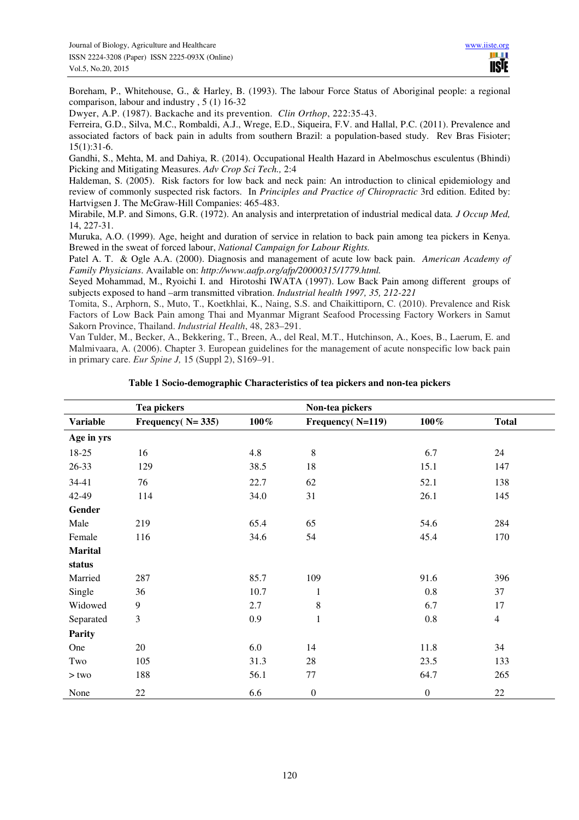Boreham, P., Whitehouse, G., & Harley, B. (1993). The labour Force Status of Aboriginal people: a regional comparison, labour and industry , 5 (1) 16-32

Dwyer, A.P. (1987). Backache and its prevention. *Clin Orthop*, 222:35-43.

Ferreira, G.D., Silva, M.C., Rombaldi, A.J., Wrege, E.D., Siqueira, F.V. and Hallal, P.C. (2011). Prevalence and associated factors of back pain in adults from southern Brazil: a population-based study. Rev Bras Fisioter; 15(1):31-6.

Gandhi, S., Mehta, M. and Dahiya, R. (2014). Occupational Health Hazard in Abelmoschus esculentus (Bhindi) Picking and Mitigating Measures. *Adv Crop Sci Tech.,* 2:4

Haldeman, S. (2005). Risk factors for low back and neck pain: An introduction to clinical epidemiology and review of commonly suspected risk factors. In *Principles and Practice of Chiropractic* 3rd edition. Edited by: Hartvigsen J. The McGraw-Hill Companies: 465-483.

Mirabile, M.P. and Simons, G.R. (1972). An analysis and interpretation of industrial medical data*. J Occup Med,* 14, 227-31.

Muruka, A.O. (1999). Age, height and duration of service in relation to back pain among tea pickers in Kenya. Brewed in the sweat of forced labour, *National Campaign for Labour Rights.* 

Patel A. T. & Ogle A.A. (2000). Diagnosis and management of acute low back pain. *American Academy of Family Physicians*. Available on: *http://www.aafp.org/afp/20000315/1779.html.*

Seyed Mohammad, M., Ryoichi I. and Hirotoshi IWATA (1997). Low Back Pain among different groups of subjects exposed to hand –arm transmitted vibration. *Industrial health 1997, 35, 212-221* 

Tomita, S., Arphorn, S., Muto, T., Koetkhlai, K., Naing, S.S. and Chaikittiporn, C. (2010). Prevalence and Risk Factors of Low Back Pain among Thai and Myanmar Migrant Seafood Processing Factory Workers in Samut Sakorn Province, Thailand. *Industrial Health*, 48, 283–291.

Van Tulder, M., Becker, A., Bekkering, T., Breen, A., del Real, M.T., Hutchinson, A., Koes, B., Laerum, E. and Malmivaara, A. (2006). Chapter 3. European guidelines for the management of acute nonspecific low back pain in primary care. *Eur Spine J,* 15 (Suppl 2), S169–91.

|                 | Tea pickers         |         | Non-tea pickers  |                  |                |
|-----------------|---------------------|---------|------------------|------------------|----------------|
| <b>Variable</b> | Frequency $(N=335)$ | $100\%$ | Frequency(N=119) | $100\,\%$        | <b>Total</b>   |
| Age in yrs      |                     |         |                  |                  |                |
| 18-25           | 16                  | 4.8     | $\,8\,$          | 6.7              | 24             |
| $26 - 33$       | 129                 | 38.5    | 18               | 15.1             | 147            |
| 34-41           | 76                  | 22.7    | 62               | 52.1             | 138            |
| 42-49           | 114                 | 34.0    | 31               | 26.1             | 145            |
| Gender          |                     |         |                  |                  |                |
| Male            | 219                 | 65.4    | 65               | 54.6             | 284            |
| Female          | 116                 | 34.6    | 54               | 45.4             | 170            |
| <b>Marital</b>  |                     |         |                  |                  |                |
| status          |                     |         |                  |                  |                |
| Married         | 287                 | 85.7    | 109              | 91.6             | 396            |
| Single          | 36                  | 10.7    | 1                | 0.8              | 37             |
| Widowed         | 9                   | 2.7     | $\,8\,$          | 6.7              | 17             |
| Separated       | $\mathfrak{Z}$      | 0.9     | $\mathbf{1}$     | $0.8\,$          | $\overline{4}$ |
| <b>Parity</b>   |                     |         |                  |                  |                |
| One             | 20                  | 6.0     | 14               | 11.8             | 34             |
| Two             | 105                 | 31.3    | 28               | 23.5             | 133            |
| $>$ two         | 188                 | 56.1    | 77               | 64.7             | 265            |
| None            | $22\,$              | 6.6     | $\boldsymbol{0}$ | $\boldsymbol{0}$ | 22             |

**Table 1 Socio-demographic Characteristics of tea pickers and non-tea pickers**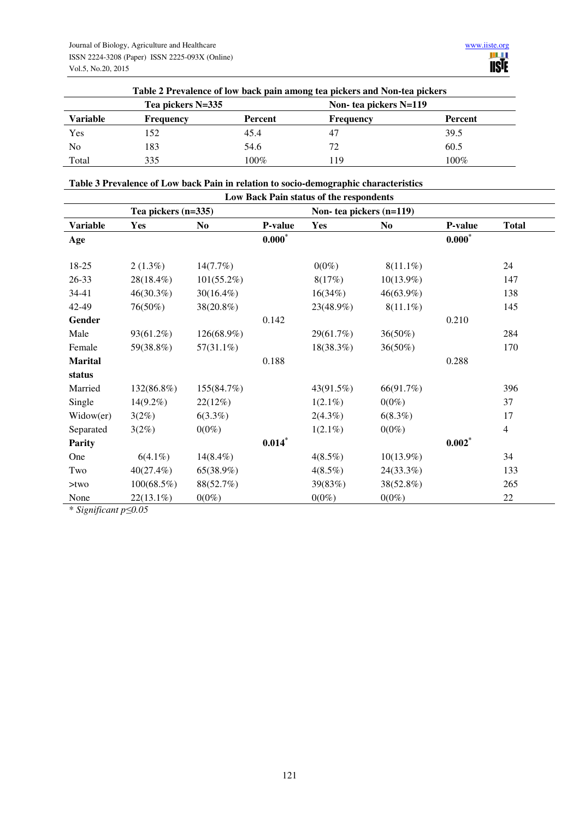| Table 2 Prevalence of low back pain among tea pickers and Non-tea pickers |           |         |                        |         |  |  |
|---------------------------------------------------------------------------|-----------|---------|------------------------|---------|--|--|
| Tea pickers N=335                                                         |           |         | Non- tea pickers N=119 |         |  |  |
| <b>Variable</b>                                                           | Frequency | Percent | Frequency              | Percent |  |  |
| Yes                                                                       | 152       | 45.4    | 47                     | 39.5    |  |  |
| N <sub>0</sub>                                                            | 183       | 54.6    | 72                     | 60.5    |  |  |
| Total                                                                     | 335       | 100%    | 119                    | $100\%$ |  |  |

## **Table 3 Prevalence of Low back Pain in relation to socio-demographic characteristics**

| Low Back Pain status of the respondents |               |              |          |                         |                |          |              |  |
|-----------------------------------------|---------------|--------------|----------|-------------------------|----------------|----------|--------------|--|
| Tea pickers $(n=335)$                   |               |              |          | Non-tea pickers (n=119) |                |          |              |  |
| <b>Variable</b>                         | Yes           | No.          | P-value  | <b>Yes</b>              | N <sub>0</sub> | P-value  | <b>Total</b> |  |
| Age                                     |               |              | $0.000*$ |                         |                | $0.000*$ |              |  |
| 18-25                                   | $2(1.3\%)$    | 14(7.7%)     |          | $0(0\%)$                | $8(11.1\%)$    |          | 24           |  |
|                                         |               |              |          |                         |                |          |              |  |
| 26-33                                   | 28(18.4%)     | 101(55.2%)   |          | 8(17%)                  | $10(13.9\%)$   |          | 147          |  |
| 34-41                                   | 46(30.3%)     | $30(16.4\%)$ |          | 16(34%)                 | 46(63.9%)      |          | 138          |  |
| 42-49                                   | 76(50%)       | 38(20.8%)    |          | 23(48.9%)               | $8(11.1\%)$    |          | 145          |  |
| Gender                                  |               |              | 0.142    |                         |                | 0.210    |              |  |
| Male                                    | 93(61.2%)     | 126(68.9%)   |          | 29(61.7%)               | 36(50%)        |          | 284          |  |
| Female                                  | 59(38.8%)     | 57(31.1%)    |          | 18(38.3%)               | $36(50\%)$     |          | 170          |  |
| <b>Marital</b>                          |               |              | 0.188    |                         |                | 0.288    |              |  |
| status                                  |               |              |          |                         |                |          |              |  |
| Married                                 | 132(86.8%)    | 155(84.7%)   |          | 43(91.5%)               | 66(91.7%)      |          | 396          |  |
| Single                                  | $14(9.2\%)$   | 22(12%)      |          | $1(2.1\%)$              | $0(0\%)$       |          | 37           |  |
| Widow(er)                               | 3(2%)         | $6(3.3\%)$   |          | $2(4.3\%)$              | 6(8.3%)        |          | 17           |  |
| Separated                               | 3(2%)         | $0(0\%)$     |          | $1(2.1\%)$              | $0(0\%)$       |          | 4            |  |
| <b>Parity</b>                           |               |              | $0.014*$ |                         |                | $0.002*$ |              |  |
| One                                     | $6(4.1\%)$    | $14(8.4\%)$  |          | 4(8.5%)                 | $10(13.9\%)$   |          | 34           |  |
| Two                                     | $40(27.4\%)$  | 65(38.9%)    |          | 4(8.5%)                 | 24(33.3%)      |          | 133          |  |
| $>$ two                                 | $100(68.5\%)$ | 88(52.7%)    |          | 39(83%)                 | 38(52.8%)      |          | 265          |  |
| None                                    | $22(13.1\%)$  | $0(0\%)$     |          | $0(0\%)$                | $0(0\%)$       |          | 22           |  |

\* *Significant p≤0.05*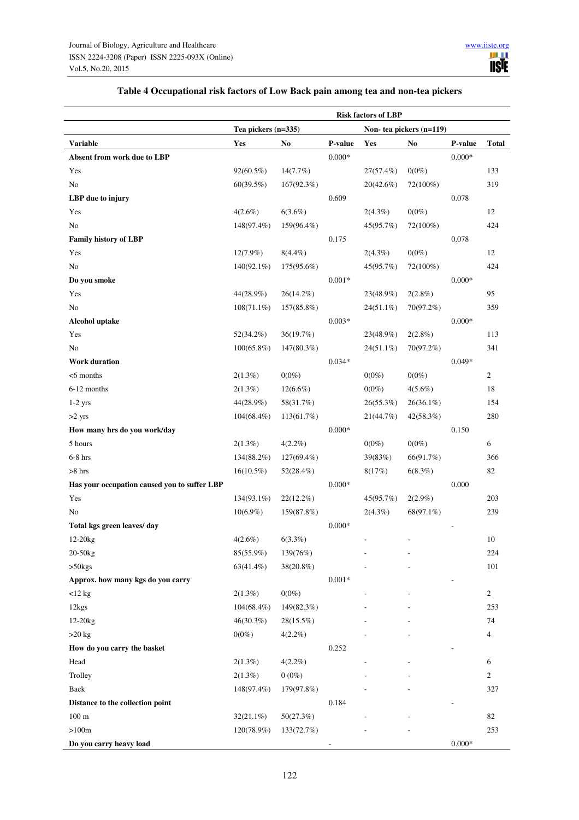| Table 4 Occupational risk factors of Low Back pain among tea and non-tea pickers |
|----------------------------------------------------------------------------------|
|----------------------------------------------------------------------------------|

|                                              | <b>Risk factors of LBP</b> |               |                         |              |                |                          |                |
|----------------------------------------------|----------------------------|---------------|-------------------------|--------------|----------------|--------------------------|----------------|
|                                              | Tea pickers (n=335)        |               | Non-tea pickers (n=119) |              |                |                          |                |
| <b>Variable</b>                              | Yes                        | No            | P-value                 | Yes          | N <sub>0</sub> | P-value                  | <b>Total</b>   |
| Absent from work due to LBP                  |                            |               | $0.000*$                |              |                | $0.000*$                 |                |
| Yes                                          | 92(60.5%)                  | 14(7.7%)      |                         | 27(57.4%)    | $0(0\%)$       |                          | 133            |
| No                                           | 60(39.5%)                  | 167(92.3%)    |                         | 20(42.6%)    | 72(100%)       |                          | 319            |
| LBP due to injury                            |                            |               | 0.609                   |              |                | 0.078                    |                |
| Yes                                          | 4(2.6%)                    | 6(3.6%)       |                         | $2(4.3\%)$   | $0(0\%)$       |                          | 12             |
| No                                           | 148(97.4%)                 | 159(96.4%)    |                         | 45(95.7%)    | 72(100%)       |                          | 424            |
| <b>Family history of LBP</b>                 |                            |               | 0.175                   |              |                | 0.078                    |                |
| Yes                                          | 12(7.9%)                   | $8(4.4\%)$    |                         | $2(4.3\%)$   | $0(0\%)$       |                          | 12             |
| No                                           | $140(92.1\%)$              | 175(95.6%)    |                         | 45(95.7%)    | 72(100%)       |                          | 424            |
| Do you smoke                                 |                            |               | $0.001*$                |              |                | $0.000*$                 |                |
| Yes                                          | 44(28.9%)                  | 26(14.2%)     |                         | 23(48.9%)    | 2(2.8%)        |                          | 95             |
| No                                           | $108(71.1\%)$              | 157(85.8%)    |                         | $24(51.1\%)$ | 70(97.2%)      |                          | 359            |
| <b>Alcohol uptake</b>                        |                            |               | $0.003*$                |              |                | $0.000*$                 |                |
| Yes                                          | 52(34.2%)                  | 36(19.7%)     |                         | 23(48.9%)    | 2(2.8%)        |                          | 113            |
| No                                           | $100(65.8\%)$              | 147(80.3%)    |                         | $24(51.1\%)$ | 70(97.2%)      |                          | 341            |
| <b>Work duration</b>                         |                            |               | $0.034*$                |              |                | $0.049*$                 |                |
| $<$ 6 months                                 | 2(1.3%)                    | $0(0\%)$      |                         | $0(0\%)$     | $0(0\%)$       |                          | 2              |
| 6-12 months                                  | 2(1.3%)                    | $12(6.6\%)$   |                         | $0(0\%)$     | $4(5.6\%)$     |                          | 18             |
| $1-2$ yrs                                    | 44(28.9%)                  | 58(31.7%)     |                         | 26(55.3%)    | $26(36.1\%)$   |                          | 154            |
| $>2$ yrs                                     | $104(68.4\%)$              | 113(61.7%)    |                         | 21(44.7%)    | 42(58.3%)      |                          | 280            |
| How many hrs do you work/day                 |                            |               | $0.000*$                |              |                | 0.150                    |                |
| 5 hours                                      | 2(1.3%)                    | $4(2.2\%)$    |                         | $0(0\%)$     | $0(0\%)$       |                          | 6              |
| $6-8$ hrs                                    | 134(88.2%)                 | $127(69.4\%)$ |                         | 39(83%)      | 66(91.7%)      |                          | 366            |
| $>8$ hrs                                     | $16(10.5\%)$               | 52(28.4%)     |                         | 8(17%)       | 6(8.3%)        |                          | 82             |
| Has your occupation caused you to suffer LBP |                            |               | $0.000*$                |              |                | 0.000                    |                |
| Yes                                          | 134(93.1%)                 | $22(12.2\%)$  |                         | 45(95.7%)    | $2(2.9\%)$     |                          | 203            |
| N <sub>0</sub>                               | $10(6.9\%)$                | 159(87.8%)    |                         | $2(4.3\%)$   | 68(97.1%)      |                          | 239            |
| Total kgs green leaves/day                   |                            |               | $0.000*$                |              |                | $\overline{\phantom{a}}$ |                |
| 12-20 <sub>kg</sub>                          | $4(2.6\%)$                 | $6(3.3\%)$    |                         |              |                |                          | 10             |
| 20-50kg                                      | 85(55.9%)                  | 139(76%)      |                         |              |                |                          | 224            |
| $>50$ kgs                                    | $63(41.4\%)$               | 38(20.8%)     |                         |              |                |                          | 101            |
| Approx. how many kgs do you carry            |                            |               | $0.001*$                |              |                |                          |                |
| $<$ 12 kg                                    | 2(1.3%)                    | $0(0\%)$      |                         |              |                |                          | $\overline{c}$ |
| 12kgs                                        | $104(68.4\%)$              | 149(82.3%)    |                         |              |                |                          | 253            |
| 12-20 <sub>kg</sub>                          | 46(30.3%)                  | 28(15.5%)     |                         |              |                |                          | 74             |
| $>20$ kg                                     | $0(0\%)$                   | $4(2.2\%)$    |                         |              |                |                          | 4              |
| How do you carry the basket                  |                            |               | 0.252                   |              |                |                          |                |
| Head                                         | 2(1.3%)                    | $4(2.2\%)$    |                         |              |                |                          | 6              |
| Trolley                                      | 2(1.3%)                    | $0(0\%)$      |                         |              |                |                          | 2              |
| Back                                         | 148(97.4%)                 | 179(97.8%)    |                         |              |                |                          | 327            |
| Distance to the collection point             |                            |               | 0.184                   |              |                |                          |                |
| $100\;\mathrm{m}$                            | $32(21.1\%)$               | 50(27.3%)     |                         |              |                |                          | 82             |
| >100m                                        | 120(78.9%)                 | 133(72.7%)    |                         |              |                |                          | 253            |
| Do you carry heavy load                      |                            |               |                         |              |                | $0.000*$                 |                |